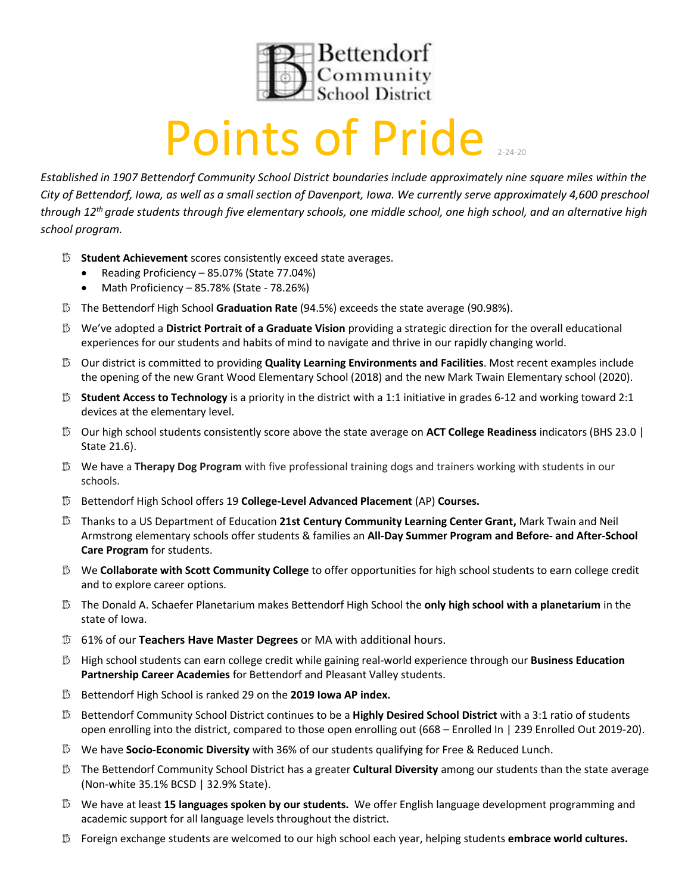

## **Points of Pride**

*Established in 1907 Bettendorf Community School District boundaries include approximately nine square miles within the City of Bettendorf, Iowa, as well as a small section of Davenport, Iowa. We currently serve approximately 4,600 preschool through 12th grade students through five elementary schools, one middle school, one high school, and an alternative high school program.* 

- **Student Achievement** scores consistently exceed state averages.
	- Reading Proficiency 85.07% (State 77.04%)
	- Math Proficiency 85.78% (State 78.26%)
- The Bettendorf High School **Graduation Rate** (94.5%) exceeds the state average (90.98%).
- We've adopted a **District Portrait of a Graduate Vision** providing a strategic direction for the overall educational experiences for our students and habits of mind to navigate and thrive in our rapidly changing world.
- Our district is committed to providing **Quality Learning Environments and Facilities**. Most recent examples include the opening of the new Grant Wood Elementary School (2018) and the new Mark Twain Elementary school (2020).
- **Student Access to Technology** is a priority in the district with a 1:1 initiative in grades 6-12 and working toward 2:1 devices at the elementary level.
- Our high school students consistently score above the state average on **ACT College Readiness** indicators (BHS 23.0 | State 21.6).
- We have a **Therapy Dog Program** with five professional training dogs and trainers working with students in our schools.
- Bettendorf High School offers 19 **College-Level Advanced Placement** (AP) **Courses.**
- Thanks to a US Department of Education **21st Century Community Learning Center Grant,** Mark Twain and Neil Armstrong elementary schools offer students & families an **All-Day Summer Program and Before- and After-School Care Program** for students.
- We **Collaborate with Scott Community College** to offer opportunities for high school students to earn college credit and to explore career options.
- The Donald A. Schaefer Planetarium makes Bettendorf High School the **only high school with a planetarium** in the state of Iowa.
- 61% of our **Teachers Have Master Degrees** or MA with additional hours.
- High school students can earn college credit while gaining real-world experience through our **Business Education Partnership Career Academies** for Bettendorf and Pleasant Valley students.
- Bettendorf High School is ranked 29 on the **2019 Iowa AP index.**
- Bettendorf Community School District continues to be a **Highly Desired School District** with a 3:1 ratio of students open enrolling into the district, compared to those open enrolling out (668 – Enrolled In | 239 Enrolled Out 2019-20).
- We have **Socio-Economic Diversity** with 36% of our students qualifying for Free & Reduced Lunch.
- The Bettendorf Community School District has a greater **Cultural Diversity** among our students than the state average (Non-white 35.1% BCSD | 32.9% State).
- We have at least **15 languages spoken by our students.** We offer English language development programming and academic support for all language levels throughout the district.
- Foreign exchange students are welcomed to our high school each year, helping students **embrace world cultures.**